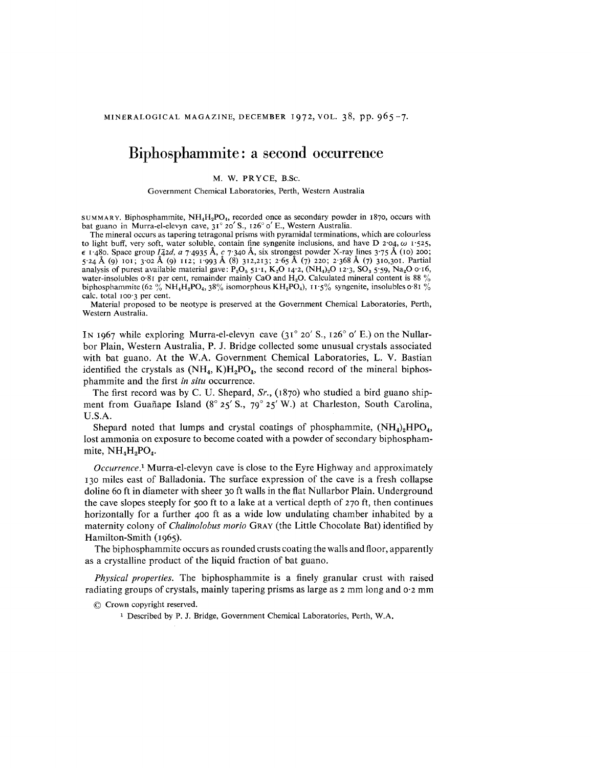## **Biphosphammite: a second occurrence**

## M, W. PRYCE, B,Se.

Government Chemical Laboratories, Perth, Western Australia

SUMMARY. Biphosphammite,  $NH_4H_2PO_4$ , recorded once as secondary powder in 1870, occurs with bat guano in Murra-el-elevyn cave,  $31^\circ 20'$  S.,  $126^\circ 0'$  E., Western Australia.

The mineral occurs as tapering tetragonal prisms with pyramidal terminations, which are colourless to light buff, very soft, water soluble, contain fine syngenite inclusions, and have D 2'04, *W* 1'525,  $\epsilon$  1.480. Space group *1* $\bar{a}$ 2*d*, *a* 7.4935 Å, *c* 7.340 Å, six strongest powder X-ray lines 3.75 Å (10) 200; 5'24A (9) 101; 3'02 A (9) 112; 1'993 A (8) 312,213; 2'65A (7) 220; 2'368 A (7) 310,301. Partial analysis of purest available material gave:  $P_2O_5$  51'1,  $K_2O$  14'2,  $(NH_4)_2O$  12'3,  $SO_3$  5'59, Na<sub>2</sub>O 0'16, water-insolubles 0.81 per cent, remainder mainly CaO and H<sub>2</sub>O. Calculated mineral content is 88 % biphosphammite (62 % NH<sub>4</sub>H<sub>2</sub>PO<sub>4</sub>, 38% isomorphous KH<sub>2</sub>PO<sub>4</sub>), 11 5% syngenite, insolubles o 81 % calc, total 100'3 per cent.

Material proposed to be neotype is preserved at the Government Chemical Laboratories, Perth, Western Australia.

IN 1967 while exploring Murra-el-elevyn cave  $(31^{\circ} 20' S., 126^{\circ} 0' E.)$  on the Nullarbor Plain, Western Australia, P. J. Bridge collected some unusual crystals associated with bat guano. At the W.A. Government Chemical Laboratories, L. V. Bastian identified the crystals as  $(NH_4, K)H_2PO_4$ , the second record of the mineral biphosphammite and the first *in situ* occurrence.

The first record was by C. U. Shepard, *Sr.,* (1870) who studied a bird guano shipment from Guañape Island ( $8^{\circ}$  25' S., 79° 25' W.) at Charleston, South Carolina, U.S.A.

Shepard noted that lumps and crystal coatings of phosphammite,  $(NH<sub>4</sub>)$ <sub>2</sub>HPO<sub>4</sub>, lost ammonia on exposure to become coated with a powder of secondary biphosphammite,  $NH<sub>4</sub>H<sub>2</sub>PO<sub>4</sub>$ .

*Occurrence.1* Murra-el-elevyn cave is close to the Eyre Highway and approximately 130 miles east of Balladonia. The surface expression of the cave is a fresh collapse doline 60 ft in diameter with sheer 30 ft walls in the flat Nullarbor Plain. Underground the cave slopes steeply for 500 ft to a lake at a vertical depth of 270 ft, then continues horizontally for a further 400 ft as a wide low undulating chamber inhabited by a maternity colony of *Chalinolobus moria* GRAY(the Little Chocolate Bat) identified by Hamilton-Smith (1965).

The biphosphammite occurs as rounded crusts coating the walls and floor, apparently as a crystalline product of the liquid fraction of bat guano.

*Physical properties.* The biphosphammite is a finely granular crust with raised radiating groups of crystals, mainly tapering prisms as large as 2 mm long and 0'2 mm

@ Crown copyright reserved.

<sup>1</sup> Described by P. J. Bridge, Government Chemical Laboratories, Perth, W,A.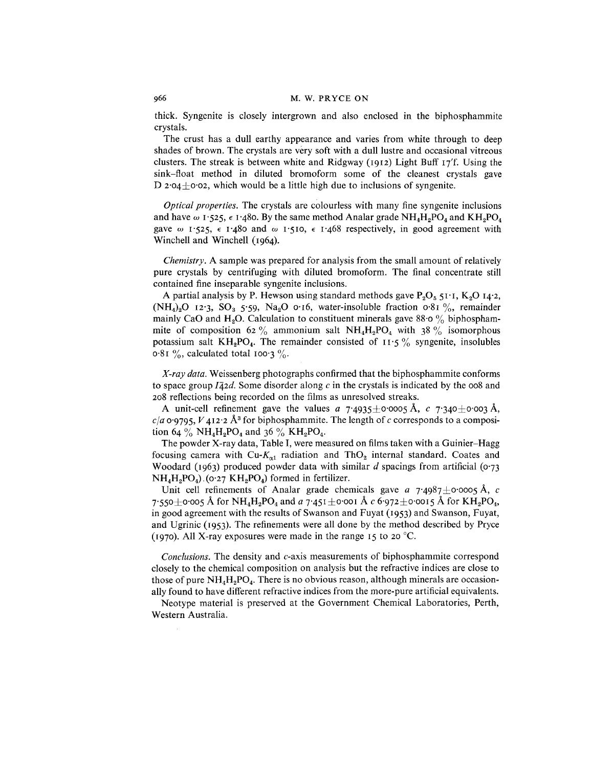thick. Syngenite is closely intergrown and also enclosed in the biphosphammite crystals,

The crust has a dull earthy appearance and varies from white through to deep shades of brown, The crystals are very soft with a dull lustre and occasional vitreous clusters, The streak is between white and Ridgway (1912) Light Buff 17'f, Using the sink-float method in diluted bromoform some of the cleanest crystals gave D  $2.04 + 0.02$ , which would be a little high due to inclusions of syngenite.

*Optical properties.* The crystals are colourless with many fine syngenite inclusions and have  $\omega$  1.525,  $\epsilon$  1.480. By the same method Analar grade NH<sub>4</sub>H<sub>2</sub>PO<sub>4</sub> and KH<sub>2</sub>PO<sub>4</sub> gave  $\omega$  1:525,  $\epsilon$  1:480 and  $\omega$  1:510,  $\epsilon$  1:468 respectively, in good agreement with Winchell and Winchell (1964).

*Chemistry.* A sample was prepared for analysis from the small amount of relatively pure crystals by centrifuging with diluted bromoform. The final concentrate still contained fine inseparable syngenite inclusions,

A partial analysis by P. Hewson using standard methods gave  $P_2O_5$  51.1,  $K_2O$  14.2,  $(NH_4)_2O$  12.3,  $SO_3$  5.59,  $Na_2O$  0.16, water-insoluble fraction 0.81 %, remainder mainly CaO and H<sub>2</sub>O. Calculation to constituent minerals gave 88.0  $\%$  biphosphammite of composition 62 % ammonium salt  $NH_4H_2PO_4$  with 38 % isomorphous potassium salt  $KH_2PO_4$ . The remainder consisted of  $II.5\%$  syngenite, insolubles  $0.81\%$ , calculated total 100.3%.

*X-ray data,* Weissenberg photographs confirmed that the biphosphammite conforms to space group  $I\bar{4}2d$ . Some disorder along c in the crystals is indicated by the 008 and 208 reflections being recorded on the films as unresolved streaks,

A unit-cell refinement gave the values  $a$  7.4935 $\pm$ 0.0005 Å,  $c$  7.340 $\pm$ 0.003 Å,  $c/a$  0.9795,  $V$  412:2  $\AA$ <sup>3</sup> for biphosphammite. The length of *c* corresponds to a composition 64 % NH<sub>4</sub>H<sub>2</sub>PO<sub>4</sub> and 36 % KH<sub>2</sub>PO<sub>4</sub>.

The powder X-ray data, Table **I,** were measured on films taken with a Guinier-Hagg focusing camera with  $Cu$ - $K_{\alpha1}$  radiation and ThO<sub>2</sub> internal standard. Coates and Woodard (1963) produced powder data with similar *d* spacings from artificial (0.73)  $NH<sub>4</sub>H<sub>2</sub>PO<sub>4</sub>$ ).(0.27 KH<sub>2</sub>PO<sub>4</sub>) formed in fertilizer.

Unit cell refinements of Analar grade chemicals gave  $a$   $7.4987\pm0.0005$  Å,  $c$  $7.550+0.005$  Å for  $NH_4H_2PO_4$  and *a*  $7.451+0.001$  Å *c* 6.972 $\pm$ 0.0015 Å for KH<sub>2</sub>PO<sub>4</sub>, in good agreement with the results of Swanson and Fuyat (1953) and Swanson, Fuyat, and Ugrinic (1953). The refinements were all done by the method described by Pryce (1970). All X-ray exposures were made in the range 15 to 20 °C.

*Conclusions,* The density and c-axis measurements of biphosphammite correspond closely to the chemical composition on analysis but the refractive indices are close to those of pure  $NH<sub>4</sub>H<sub>2</sub>PO<sub>4</sub>$ . There is no obvious reason, although minerals are occasionally found to have different refractive indices from the more-pure artificial equivalents,

Neotype material is preserved at the Government Chemical Laboratories, Perth, Western Australia,